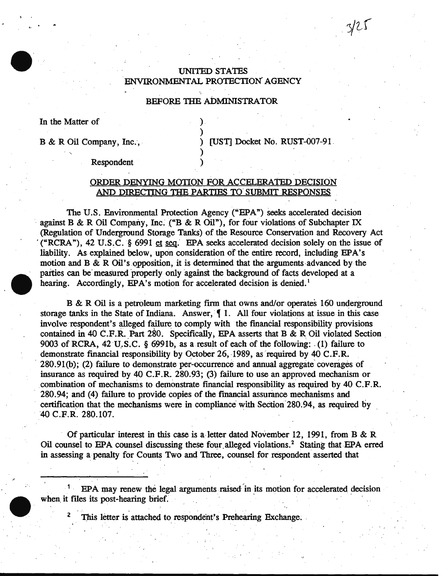# UNITED STATEs . ENVIRONMENTAL PROTECTION" AGENCY

### BEFORE THE ADMINISTRATOR

)

)

In the Matter of.

1 •

B & R Oil Company, Inc., . . . . . ) [UST] Docket No. RUST-007-91.

 $3/25$ 

Respondent )

## ORDER DENYING MOTION FOR ACCELERATED DECISION AND DIRECTING THE PARTIES TO' SuBMIT RESPONSES

The U.S. Environmental Protection Agency ("EPA") seeks accelerated decision against B & R Oil Company, Inc. ("B & R Oil"), for four violations of Subchapter IX (Regulation of Underground Storage Tanks) of the Resource Conservation and Recovery Act ("RCRA"), 42 U.S.C. § 6991 et seq. EPA seeks accelerated decision solely on the issue of liability. As explained below, upon consideration of the entire record, including EPA's motion and B  $\&$  R Oil's opposition, it is determined that the arguments advanced by the parties can be measured properly only against the background of facts developed at a hearing. Accordingly, EPA's motion for accelerated decision is denied.<sup>1</sup>

B & R Oil is a petroleum marketing firm that owns and/or operates 160 underground storage tanks in the State of Indiana. Answer,  $\parallel$  1. All four violations at issue in this case involve respondent's alleged failure to comply with the financial responsibility provisions contained in 40 C.F.R. Part 280. Specifically, EPA asserts that B & R Oil violated Section 9003 of RCRA, 42 U.S.C. § 6991b, as a result of each of the following: (1) failure to demonstrate financial responsibility by October 26, 1989, as required by 40 C.F.R. 280.91(b); (2) failure to demonstrate per-occurrence and annual aggregate' coverages of insurance as required by 40 C.F.R. 280.93; (3) failure to use an approved mechanism or combination of mechanisms to demonstrate financial responsibility as required by 40 C.F.R. 280.94; and (4) failure to provide copies of the financial assurimce mechanisms and certification that the mechanisms were in compliance with Section 280.94, as required by ·40 C.F.R. 280.107.

Of particular interest in this case is a letter dated November 12, 1991, from B & R Oil counsel to EPA counsel discussing these four alleged violations.<sup>2</sup> Stating that EPA erred in assessing a penalty for Counts Two and Three, counsel for respondent asserted that

EPA may renew the legal arguments raised in its motion for accelerated decision when it files its post-hearing brief.

This letter is attached to respondent's Prehearing Exchange.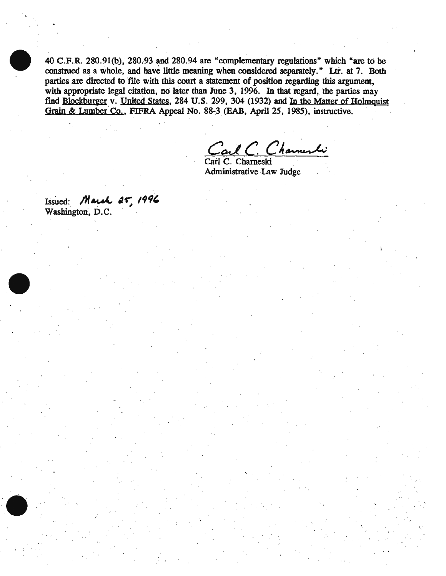40 C.F.R. 280.91(b),  $280.93$  and  $280.94$  are "complementary regulations" which "are to be construed as a whole, and have little meaning when considered separately." Ltr. at 7. Both parties are directed to file with this court a statement of position regarding this argument, with appropriate legal citation, no later than June 3, 1996. In that regard, the parties may find Blockburger v. United States, 284 U.S. 299, 304 (1932) and In the Matter of Holmquist Grain & Lumber Co., FIFRA Appeal No. 88-3 (EAB, April 25, 1985), instructive.

Carl C. Channeski

Administrative Law Judge

Issued: *March 25, 1996* Washington, D.C.